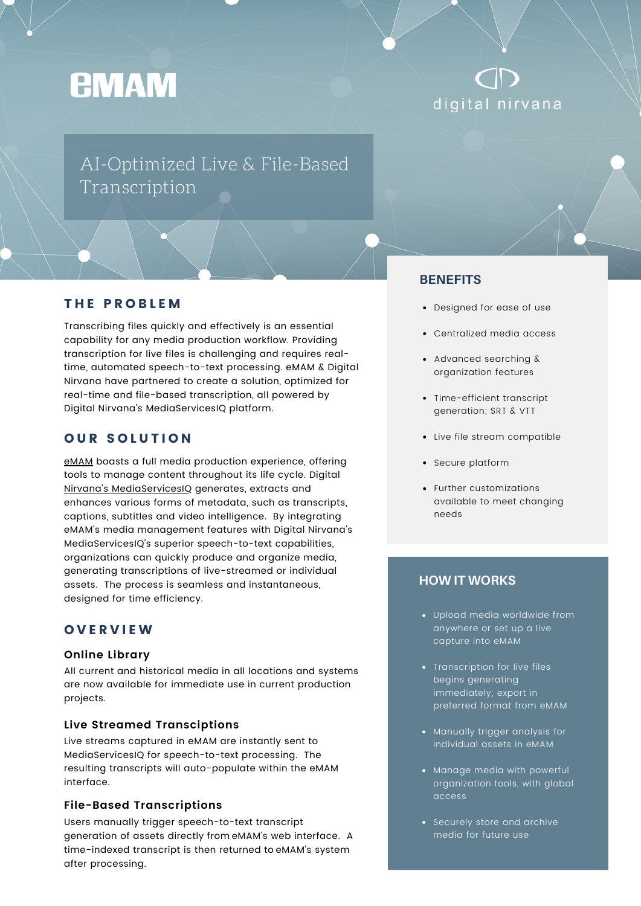# **EMAM**

# digital nirvana

## AI-Optimized Live & File-Based Transcription

#### THE PROBLEM

Transcribing files quickly and effectively is an essential capability for any media production workflow. Providing transcription for live files is challenging and requires realtime, automated speech-to-text processing. eMAM & Digital Nirvana have partnered to create a solution, optimized for real-time and file-based transcription, all powered by Digital Nirvana's MediaServicesIQ platform.

#### **OUR SOLUTION**

[eMAM](https://emamsolutions.com/info_whats_emam.aspx) boasts a full media production experience, offering tools to manage content throughout its life cycle. Digital Nirvana's [MediaServicesIQ](https://digital-nirvana.com/products/post-production-workflows-mediaservicesiq/) generates, extracts and enhances various forms of metadata, such as transcripts, captions, subtitles and video intelligence. By integrating eMAM's media management features with Digital Nirvana's MediaServicesIQ's superior speech-to-text capabilities, organizations can quickly produce and organize media, generating transcriptions of live-streamed or individual assets. The process is seamless and instantaneous, designed for time efficiency.

#### O V E R V I E W

#### **Online Library**

All current and historical media in all locations and systems are now available for immediate use in current production projects.

#### **Live Streamed Transciptions**

Live streams captured in eMAM are instantly sent to MediaServicesIQ for speech-to-text processing. The resulting transcripts will auto-populate within the eMAM interface.

#### **File-Based Transcriptions**

Users manually trigger speech-to-text transcript generation of assets directly from eMAM's web interface. A time-indexed transcript is then returned to eMAM's system after processing.

#### **BENEFITS**

- Designed for ease of use
- Centralized media access
- Advanced searching & organization features
- Time-efficient transcript generation; SRT & VTT
- Live file stream compatible
- Secure platform
- Further customizations available to meet changing needs

#### **HOW IT WORKS**

- Upload media worldwide from anywhere or set up a live capture into eMAM
- Transcription for live files begins generating immediately; export in preferred format from eMAM
- Manually trigger analysis for individual assets in eMAM
- Manage media with powerful organization tools, with global access
- Securely store and archive media for future use